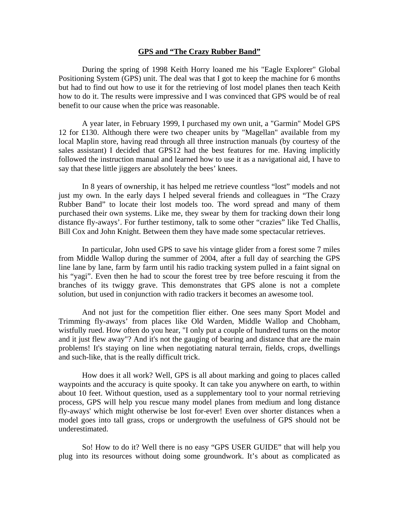## **GPS and "The Crazy Rubber Band"**

 During the spring of 1998 Keith Horry loaned me his "Eagle Explorer" Global Positioning System (GPS) unit. The deal was that I got to keep the machine for 6 months but had to find out how to use it for the retrieving of lost model planes then teach Keith how to do it. The results were impressive and I was convinced that GPS would be of real benefit to our cause when the price was reasonable.

 A year later, in February 1999, I purchased my own unit, a "Garmin" Model GPS 12 for £130. Although there were two cheaper units by "Magellan" available from my local Maplin store, having read through all three instruction manuals (by courtesy of the sales assistant) I decided that GPS12 had the best features for me. Having implicitly followed the instruction manual and learned how to use it as a navigational aid, I have to say that these little jiggers are absolutely the bees' knees.

 In 8 years of ownership, it has helped me retrieve countless "lost" models and not just my own. In the early days I helped several friends and colleagues in "The Crazy Rubber Band" to locate their lost models too. The word spread and many of them purchased their own systems. Like me, they swear by them for tracking down their long distance fly-aways'. For further testimony, talk to some other "crazies" like Ted Challis, Bill Cox and John Knight. Between them they have made some spectacular retrieves.

 In particular, John used GPS to save his vintage glider from a forest some 7 miles from Middle Wallop during the summer of 2004, after a full day of searching the GPS line lane by lane, farm by farm until his radio tracking system pulled in a faint signal on his "yagi". Even then he had to scour the forest tree by tree before rescuing it from the branches of its twiggy grave. This demonstrates that GPS alone is not a complete solution, but used in conjunction with radio trackers it becomes an awesome tool.

 And not just for the competition flier either. One sees many Sport Model and Trimming fly-aways' from places like Old Warden, Middle Wallop and Chobham, wistfully rued. How often do you hear, "I only put a couple of hundred turns on the motor and it just flew away"? And it's not the gauging of bearing and distance that are the main problems! It's staying on line when negotiating natural terrain, fields, crops, dwellings and such-like, that is the really difficult trick.

 How does it all work? Well, GPS is all about marking and going to places called waypoints and the accuracy is quite spooky. It can take you anywhere on earth, to within about 10 feet. Without question, used as a supplementary tool to your normal retrieving process, GPS will help you rescue many model planes from medium and long distance fly-aways' which might otherwise be lost for-ever! Even over shorter distances when a model goes into tall grass, crops or undergrowth the usefulness of GPS should not be underestimated.

 So! How to do it? Well there is no easy "GPS USER GUIDE" that will help you plug into its resources without doing some groundwork. It's about as complicated as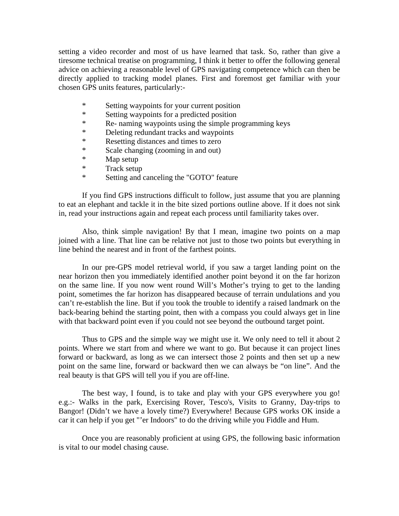setting a video recorder and most of us have learned that task. So, rather than give a tiresome technical treatise on programming, I think it better to offer the following general advice on achieving a reasonable level of GPS navigating competence which can then be directly applied to tracking model planes. First and foremost get familiar with your chosen GPS units features, particularly:-

- \* Setting waypoints for your current position
- \* Setting waypoints for a predicted position
- \* Re- naming waypoints using the simple programming keys
- \* Deleting redundant tracks and waypoints
- \* Resetting distances and times to zero
- \* Scale changing (zooming in and out)
- \* Map setup
- \* Track setup<br>\* Setting and
- Setting and canceling the "GOTO" feature

 If you find GPS instructions difficult to follow, just assume that you are planning to eat an elephant and tackle it in the bite sized portions outline above. If it does not sink in, read your instructions again and repeat each process until familiarity takes over.

 Also, think simple navigation! By that I mean, imagine two points on a map joined with a line. That line can be relative not just to those two points but everything in line behind the nearest and in front of the farthest points.

 In our pre-GPS model retrieval world, if you saw a target landing point on the near horizon then you immediately identified another point beyond it on the far horizon on the same line. If you now went round Will's Mother's trying to get to the landing point, sometimes the far horizon has disappeared because of terrain undulations and you can't re-establish the line. But if you took the trouble to identify a raised landmark on the back-bearing behind the starting point, then with a compass you could always get in line with that backward point even if you could not see beyond the outbound target point.

 Thus to GPS and the simple way we might use it. We only need to tell it about 2 points. Where we start from and where we want to go. But because it can project lines forward or backward, as long as we can intersect those 2 points and then set up a new point on the same line, forward or backward then we can always be "on line". And the real beauty is that GPS will tell you if you are off-line.

 The best way, I found, is to take and play with your GPS everywhere you go! e.g.:- Walks in the park, Exercising Rover, Tesco's, Visits to Granny, Day-trips to Bangor! (Didn't we have a lovely time?) Everywhere! Because GPS works OK inside a car it can help if you get "'er Indoors" to do the driving while you Fiddle and Hum.

 Once you are reasonably proficient at using GPS, the following basic information is vital to our model chasing cause.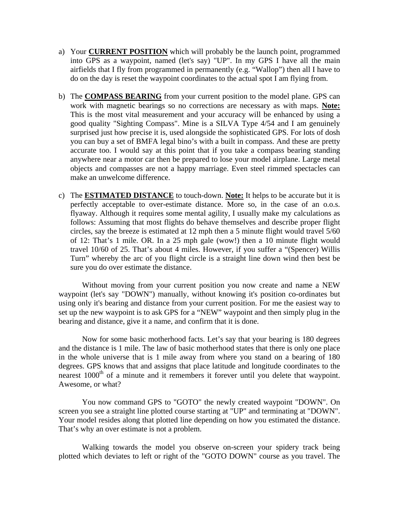- a) Your **CURRENT POSITION** which will probably be the launch point, programmed into GPS as a waypoint, named (let's say) "UP". In my GPS I have all the main airfields that I fly from programmed in permanently (e.g. "Wallop") then all I have to do on the day is reset the waypoint coordinates to the actual spot I am flying from.
- b) The **COMPASS BEARING** from your current position to the model plane. GPS can work with magnetic bearings so no corrections are necessary as with maps. **Note:** This is the most vital measurement and your accuracy will be enhanced by using a good quality "Sighting Compass". Mine is a SILVA Type 4/54 and I am genuinely surprised just how precise it is, used alongside the sophisticated GPS. For lots of dosh you can buy a set of BMFA legal bino's with a built in compass. And these are pretty accurate too. I would say at this point that if you take a compass bearing standing anywhere near a motor car then be prepared to lose your model airplane. Large metal objects and compasses are not a happy marriage. Even steel rimmed spectacles can make an unwelcome difference.
- c) The **ESTIMATED DISTANCE** to touch-down. **Note:** It helps to be accurate but it is perfectly acceptable to over-estimate distance. More so, in the case of an o.o.s. flyaway. Although it requires some mental agility, I usually make my calculations as follows: Assuming that most flights do behave themselves and describe proper flight circles, say the breeze is estimated at 12 mph then a 5 minute flight would travel 5/60 of 12: That's 1 mile. OR. In a 25 mph gale (wow!) then a 10 minute flight would travel 10/60 of 25. That's about 4 miles. However, if you suffer a "(Spencer) Willis Turn" whereby the arc of you flight circle is a straight line down wind then best be sure you do over estimate the distance.

 Without moving from your current position you now create and name a NEW waypoint (let's say "DOWN") manually, without knowing it's position co-ordinates but using only it's bearing and distance from your current position. For me the easiest way to set up the new waypoint is to ask GPS for a "NEW" waypoint and then simply plug in the bearing and distance, give it a name, and confirm that it is done.

 Now for some basic motherhood facts. Let's say that your bearing is 180 degrees and the distance is 1 mile. The law of basic motherhood states that there is only one place in the whole universe that is 1 mile away from where you stand on a bearing of 180 degrees. GPS knows that and assigns that place latitude and longitude coordinates to the nearest 1000<sup>th</sup> of a minute and it remembers it forever until you delete that waypoint. Awesome, or what?

 You now command GPS to "GOTO" the newly created waypoint "DOWN". On screen you see a straight line plotted course starting at "UP" and terminating at "DOWN". Your model resides along that plotted line depending on how you estimated the distance. That's why an over estimate is not a problem.

 Walking towards the model you observe on-screen your spidery track being plotted which deviates to left or right of the "GOTO DOWN" course as you travel. The